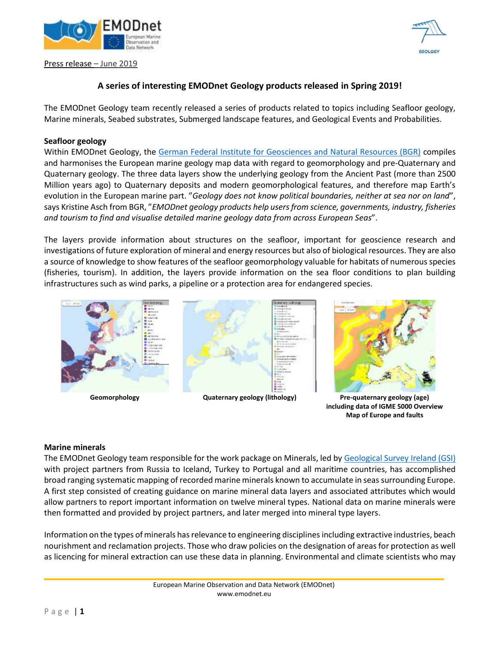

Press release – June 2019



## **A series of interesting EMODnet Geology products released in Spring 2019!**

The EMODnet Geology team recently released a series of products related to topics including Seafloor geology, Marine minerals, Seabed substrates, Submerged landscape features, and Geological Events and Probabilities.

#### **Seafloor geology**

Within EMODnet Geology, the [German Federal Institute for Geosciences and Natural Resources \(BGR\)](https://www.bgr.bund.de/EN/Home/homepage_node_en.html) compiles and harmonises the European marine geology map data with regard to geomorphology and pre-Quaternary and Quaternary geology. The three data layers show the underlying geology from the Ancient Past (more than 2500 Million years ago) to Quaternary deposits and modern geomorphological features, and therefore map Earth's evolution in the European marine part. "*Geology does not know political boundaries, neither at sea nor on land*", says Kristine Asch from BGR, "*EMODnet geology products help users from science, governments, industry, fisheries and tourism to find and visualise detailed marine geology data from across European Seas*".

The layers provide information about structures on the seafloor, important for geoscience research and investigations of future exploration of mineral and energy resources but also of biological resources. They are also a source of knowledge to show features of the seafloor geomorphology valuable for habitats of numerous species (fisheries, tourism). In addition, the layers provide information on the sea floor conditions to plan building infrastructures such as wind parks, a pipeline or a protection area for endangered species.





**including data of IGME 5000 Overview Map of Europe and faults**

#### **Marine minerals**

The EMODnet Geology team responsible for the work package on Minerals, led b[y Geological Survey Ireland \(GSI\)](https://www.gsi.ie/en-ie/Pages/default.aspx) with project partners from Russia to Iceland, Turkey to Portugal and all maritime countries, has accomplished broad ranging systematic mapping of recorded marine minerals known to accumulate in seas surrounding Europe. A first step consisted of creating guidance on marine mineral data layers and associated attributes which would allow partners to report important information on twelve mineral types. National data on marine minerals were then formatted and provided by project partners, and later merged into mineral type layers.

Information on the types of minerals has relevance to engineering disciplines including extractive industries, beach nourishment and reclamation projects. Those who draw policies on the designation of areas for protection as well as licencing for mineral extraction can use these data in planning. Environmental and climate scientists who may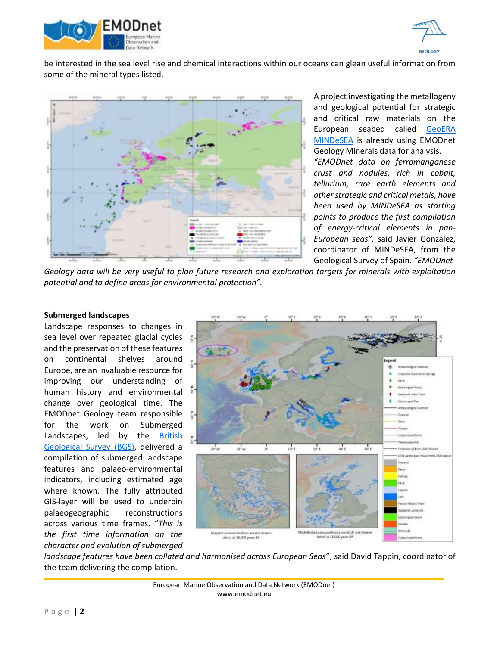



be interested in the sea level rise and chemical interactions within our oceans can glean useful information from some of the mineral types listed.



A project investigating the metallogeny and geological potential for strategic and critical raw materials on the European seabed called [GeoERA](https://geoera.eu/projects/mindesea/)  [MINDeSEA](https://geoera.eu/projects/mindesea/) is already using EMODnet Geology Minerals data for analysis.

*"EMODnet data on ferromanganese crust and nodules, rich in cobalt, tellurium, rare earth elements and other strategic and critical metals, have been used by MINDeSEA as starting points to produce the first compilation of energy-critical elements in pan-European seas",* said Javier González, coordinator of MINDeSEA, from the Geological Survey of Spain. *"EMODnet-*

*Geology data will be very useful to plan future research and exploration targets for minerals with exploitation potential and to define areas for environmental protection".*

## **Submerged landscapes**

Landscape responses to changes in sea level over repeated glacial cycles and the preservation of these features on continental shelves around Europe, are an invaluable resource for improving our understanding of human history and environmental change over geological time. The EMODnet Geology team responsible for the work on Submerged Landscapes, led by the [British](https://www.bgs.ac.uk/)  [Geological Survey](https://www.bgs.ac.uk/) (BGS), delivered a compilation of submerged landscape features and palaeo-environmental indicators, including estimated age where known. The fully attributed GIS-layer will be used to underpin palaeogeographic reconstructions across various time frames. "*This is the first time information on the character and evolution of submerged* 



*landscape features have been collated and harmonised across European Seas*", said David Tappin, coordinator of the team delivering the compilation.

> European Marine Observation and Data Network (EMODnet) www.emodnet.eu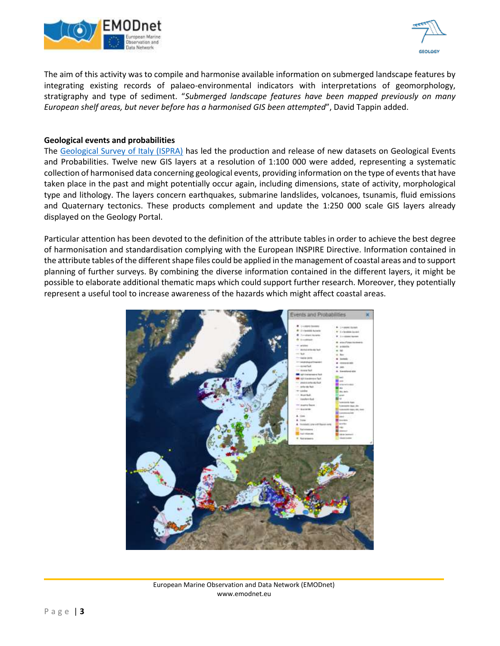



The aim of this activity was to compile and harmonise available information on submerged landscape features by integrating existing records of palaeo-environmental indicators with interpretations of geomorphology, stratigraphy and type of sediment. "*Submerged landscape features have been mapped previously on many European shelf areas, but never before has a harmonised GIS been attempted*", David Tappin added.

## **Geological events and probabilities**

The [Geological Survey of Italy \(ISPRA\)](http://portalesgi.isprambiente.it/) has led the production and release of new datasets on Geological Events and Probabilities. Twelve new GIS layers at a resolution of 1:100 000 were added, representing a systematic collection of harmonised data concerning geological events, providing information on the type of events that have taken place in the past and might potentially occur again, including dimensions, state of activity, morphological type and lithology. The layers concern earthquakes, submarine landslides, volcanoes, tsunamis, fluid emissions and Quaternary tectonics. These products complement and update the 1:250 000 scale GIS layers already displayed on the Geology Portal.

Particular attention has been devoted to the definition of the attribute tables in order to achieve the best degree of harmonisation and standardisation complying with the European INSPIRE Directive. Information contained in the attribute tables of the different shape files could be applied in the management of coastal areas and to support planning of further surveys. By combining the diverse information contained in the different layers, it might be possible to elaborate additional thematic maps which could support further research. Moreover, they potentially represent a useful tool to increase awareness of the hazards which might affect coastal areas.



European Marine Observation and Data Network (EMODnet) www.emodnet.eu